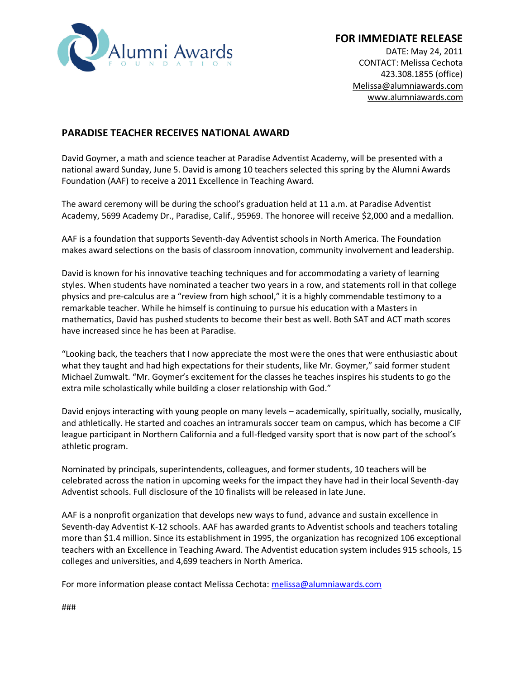

## **FOR IMMEDIATE RELEASE**

DATE: May 24, 2011 CONTACT: Melissa Cechota 423.308.1855 (office) [Melissa@alumniawards.com](mailto:Melanie@alumniawards.com) [www.alumniawards.com](http://www.alumniawards.com/)

## **PARADISE TEACHER RECEIVES NATIONAL AWARD**

David Goymer, a math and science teacher at Paradise Adventist Academy, will be presented with a national award Sunday, June 5. David is among 10 teachers selected this spring by the Alumni Awards Foundation (AAF) to receive a 2011 Excellence in Teaching Award.

The award ceremony will be during the school's graduation held at 11 a.m. at Paradise Adventist Academy, 5699 Academy Dr., Paradise, Calif., 95969. The honoree will receive \$2,000 and a medallion.

AAF is a foundation that supports Seventh-day Adventist schools in North America. The Foundation makes award selections on the basis of classroom innovation, community involvement and leadership.

David is known for his innovative teaching techniques and for accommodating a variety of learning styles. When students have nominated a teacher two years in a row, and statements roll in that college physics and pre-calculus are a "review from high school," it is a highly commendable testimony to a remarkable teacher. While he himself is continuing to pursue his education with a Masters in mathematics, David has pushed students to become their best as well. Both SAT and ACT math scores have increased since he has been at Paradise.

"Looking back, the teachers that I now appreciate the most were the ones that were enthusiastic about what they taught and had high expectations for their students, like Mr. Goymer," said former student Michael Zumwalt. "Mr. Goymer's excitement for the classes he teaches inspires his students to go the extra mile scholastically while building a closer relationship with God."

David enjoys interacting with young people on many levels – academically, spiritually, socially, musically, and athletically. He started and coaches an intramurals soccer team on campus, which has become a CIF league participant in Northern California and a full-fledged varsity sport that is now part of the school's athletic program.

Nominated by principals, superintendents, colleagues, and former students, 10 teachers will be celebrated across the nation in upcoming weeks for the impact they have had in their local Seventh-day Adventist schools. Full disclosure of the 10 finalists will be released in late June.

AAF is a nonprofit organization that develops new ways to fund, advance and sustain excellence in Seventh-day Adventist K-12 schools. AAF has awarded grants to Adventist schools and teachers totaling more than \$1.4 million. Since its establishment in 1995, the organization has recognized 106 exceptional teachers with an Excellence in Teaching Award. The Adventist education system includes 915 schools, 15 colleges and universities, and 4,699 teachers in North America.

For more information please contact Melissa Cechota[: melissa@alumniawards.com](mailto:melissa@alumniawards.com)

###